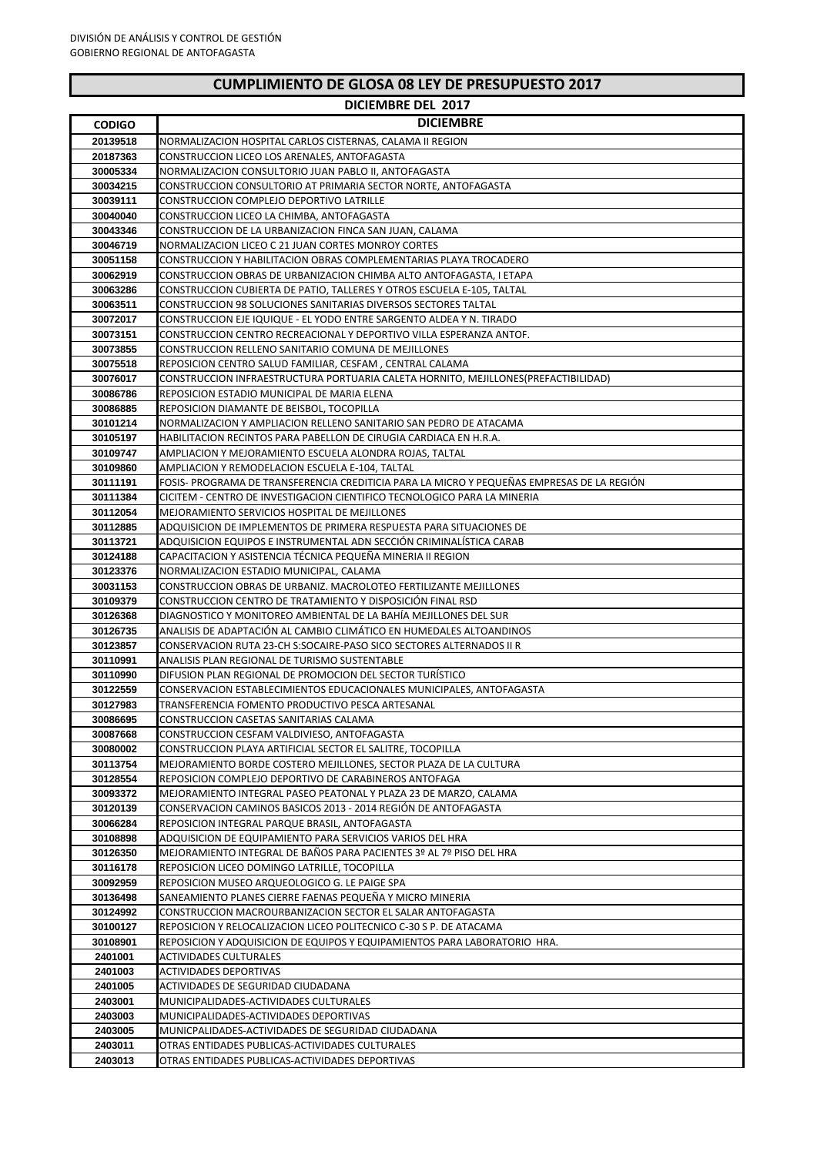| <b>CUMPLIMIENTO DE GLOSA 08 LEY DE PRESUPUESTO 2017</b> |  |  |  |
|---------------------------------------------------------|--|--|--|
|---------------------------------------------------------|--|--|--|

|                      | <b>DICIEMBRE DEL 2017</b>                                                                                                       |
|----------------------|---------------------------------------------------------------------------------------------------------------------------------|
| <b>CODIGO</b>        | <b>DICIEMBRE</b>                                                                                                                |
| 20139518             | NORMALIZACION HOSPITAL CARLOS CISTERNAS, CALAMA II REGION                                                                       |
| 20187363             | CONSTRUCCION LICEO LOS ARENALES, ANTOFAGASTA                                                                                    |
| 30005334             | NORMALIZACION CONSULTORIO JUAN PABLO II, ANTOFAGASTA                                                                            |
| 30034215             | CONSTRUCCION CONSULTORIO AT PRIMARIA SECTOR NORTE, ANTOFAGASTA                                                                  |
| 30039111             | CONSTRUCCION COMPLEJO DEPORTIVO LATRILLE                                                                                        |
| 30040040             | CONSTRUCCION LICEO LA CHIMBA, ANTOFAGASTA                                                                                       |
| 30043346             | CONSTRUCCION DE LA URBANIZACION FINCA SAN JUAN, CALAMA                                                                          |
| 30046719             | NORMALIZACION LICEO C 21 JUAN CORTES MONROY CORTES                                                                              |
| 30051158             | CONSTRUCCION Y HABILITACION OBRAS COMPLEMENTARIAS PLAYA TROCADERO                                                               |
| 30062919             | CONSTRUCCION OBRAS DE URBANIZACION CHIMBA ALTO ANTOFAGASTA, I ETAPA                                                             |
| 30063286             | CONSTRUCCION CUBIERTA DE PATIO, TALLERES Y OTROS ESCUELA E-105, TALTAL                                                          |
| 30063511             | CONSTRUCCION 98 SOLUCIONES SANITARIAS DIVERSOS SECTORES TALTAL                                                                  |
| 30072017             | CONSTRUCCION EJE IQUIQUE - EL YODO ENTRE SARGENTO ALDEA Y N. TIRADO                                                             |
| 30073151             | CONSTRUCCION CENTRO RECREACIONAL Y DEPORTIVO VILLA ESPERANZA ANTOF.                                                             |
| 30073855             | CONSTRUCCION RELLENO SANITARIO COMUNA DE MEJILLONES                                                                             |
| 30075518             | REPOSICION CENTRO SALUD FAMILIAR, CESFAM, CENTRAL CALAMA                                                                        |
| 30076017             | CONSTRUCCION INFRAESTRUCTURA PORTUARIA CALETA HORNITO, MEJILLONES(PREFACTIBILIDAD)                                              |
| 30086786             | REPOSICION ESTADIO MUNICIPAL DE MARIA ELENA                                                                                     |
| 30086885             | REPOSICION DIAMANTE DE BEISBOL, TOCOPILLA                                                                                       |
| 30101214             | NORMALIZACION Y AMPLIACION RELLENO SANITARIO SAN PEDRO DE ATACAMA                                                               |
| 30105197<br>30109747 | HABILITACION RECINTOS PARA PABELLON DE CIRUGIA CARDIACA EN H.R.A.<br>AMPLIACION Y MEJORAMIENTO ESCUELA ALONDRA ROJAS, TALTAL    |
| 30109860             | AMPLIACION Y REMODELACION ESCUELA E-104, TALTAL                                                                                 |
| 30111191             | FOSIS- PROGRAMA DE TRANSFERENCIA CREDITICIA PARA LA MICRO Y PEQUEÑAS EMPRESAS DE LA REGIÓN                                      |
| 30111384             | CICITEM - CENTRO DE INVESTIGACION CIENTIFICO TECNOLOGICO PARA LA MINERIA                                                        |
| 30112054             | MEJORAMIENTO SERVICIOS HOSPITAL DE MEJILLONES                                                                                   |
| 30112885             | ADQUISICION DE IMPLEMENTOS DE PRIMERA RESPUESTA PARA SITUACIONES DE                                                             |
| 30113721             | ADQUISICION EQUIPOS E INSTRUMENTAL ADN SECCION CRIMINALISTICA CARAB                                                             |
| 30124188             | CAPACITACION Y ASISTENCIA TÉCNICA PEQUEÑA MINERIA II REGION                                                                     |
| 30123376             | NORMALIZACION ESTADIO MUNICIPAL, CALAMA                                                                                         |
| 30031153             | CONSTRUCCION OBRAS DE URBANIZ. MACROLOTEO FERTILIZANTE MEJILLONES                                                               |
| 30109379             | CONSTRUCCION CENTRO DE TRATAMIENTO Y DISPOSICIÓN FINAL RSD                                                                      |
| 30126368             | DIAGNOSTICO Y MONITOREO AMBIENTAL DE LA BAHÍA MEJILLONES DEL SUR                                                                |
| 30126735             | ANALISIS DE ADAPTACIÓN AL CAMBIO CLIMÁTICO EN HUMEDALES ALTOANDINOS                                                             |
| 30123857             | CONSERVACION RUTA 23-CH S:SOCAIRE-PASO SICO SECTORES ALTERNADOS II R                                                            |
| 30110991             | ANALISIS PLAN REGIONAL DE TURISMO SUSTENTABLE                                                                                   |
| 30110990             | DIFUSION PLAN REGIONAL DE PROMOCION DEL SECTOR TURISTICO                                                                        |
| 30122559             | CONSERVACION ESTABLECIMIENTOS EDUCACIONALES MUNICIPALES, ANTOFAGASTA                                                            |
| 30127983             | TRANSFERENCIA FOMENTO PRODUCTIVO PESCA ARTESANAL                                                                                |
| 30086695             | CONSTRUCCION CASETAS SANITARIAS CALAMA                                                                                          |
| 30087668             | CONSTRUCCION CESFAM VALDIVIESO, ANTOFAGASTA                                                                                     |
| 30080002<br>30113754 | CONSTRUCCION PLAYA ARTIFICIAL SECTOR EL SALITRE, TOCOPILLA<br>MEJORAMIENTO BORDE COSTERO MEJILLONES, SECTOR PLAZA DE LA CULTURA |
| 30128554             | REPOSICION COMPLEJO DEPORTIVO DE CARABINEROS ANTOFAGA                                                                           |
| 30093372             | MEJORAMIENTO INTEGRAL PASEO PEATONAL Y PLAZA 23 DE MARZO, CALAMA                                                                |
| 30120139             | CONSERVACION CAMINOS BASICOS 2013 - 2014 REGIÓN DE ANTOFAGASTA                                                                  |
| 30066284             | REPOSICION INTEGRAL PARQUE BRASIL, ANTOFAGASTA                                                                                  |
| 30108898             | ADQUISICION DE EQUIPAMIENTO PARA SERVICIOS VARIOS DEL HRA                                                                       |
| 30126350             | MEJORAMIENTO INTEGRAL DE BAÑOS PARA PACIENTES 3º AL 7º PISO DEL HRA                                                             |
| 30116178             | REPOSICION LICEO DOMINGO LATRILLE, TOCOPILLA                                                                                    |
| 30092959             | REPOSICION MUSEO ARQUEOLOGICO G. LE PAIGE SPA                                                                                   |
| 30136498             | SANEAMIENTO PLANES CIERRE FAENAS PEQUEÑA Y MICRO MINERIA                                                                        |
| 30124992             | CONSTRUCCION MACROURBANIZACION SECTOR EL SALAR ANTOFAGASTA                                                                      |
| 30100127             | REPOSICION Y RELOCALIZACION LICEO POLITECNICO C-30 S P. DE ATACAMA                                                              |
| 30108901             | REPOSICION Y ADQUISICION DE EQUIPOS Y EQUIPAMIENTOS PARA LABORATORIO HRA.                                                       |
| 2401001              | ACTIVIDADES CULTURALES                                                                                                          |
| 2401003              | ACTIVIDADES DEPORTIVAS                                                                                                          |
| 2401005              | ACTIVIDADES DE SEGURIDAD CIUDADANA                                                                                              |
| 2403001              | MUNICIPALIDADES-ACTIVIDADES CULTURALES                                                                                          |
| 2403003              | MUNICIPALIDADES-ACTIVIDADES DEPORTIVAS                                                                                          |
| 2403005              | MUNICPALIDADES-ACTIVIDADES DE SEGURIDAD CIUDADANA                                                                               |
| 2403011              | OTRAS ENTIDADES PUBLICAS-ACTIVIDADES CULTURALES                                                                                 |
| 2403013              | OTRAS ENTIDADES PUBLICAS-ACTIVIDADES DEPORTIVAS                                                                                 |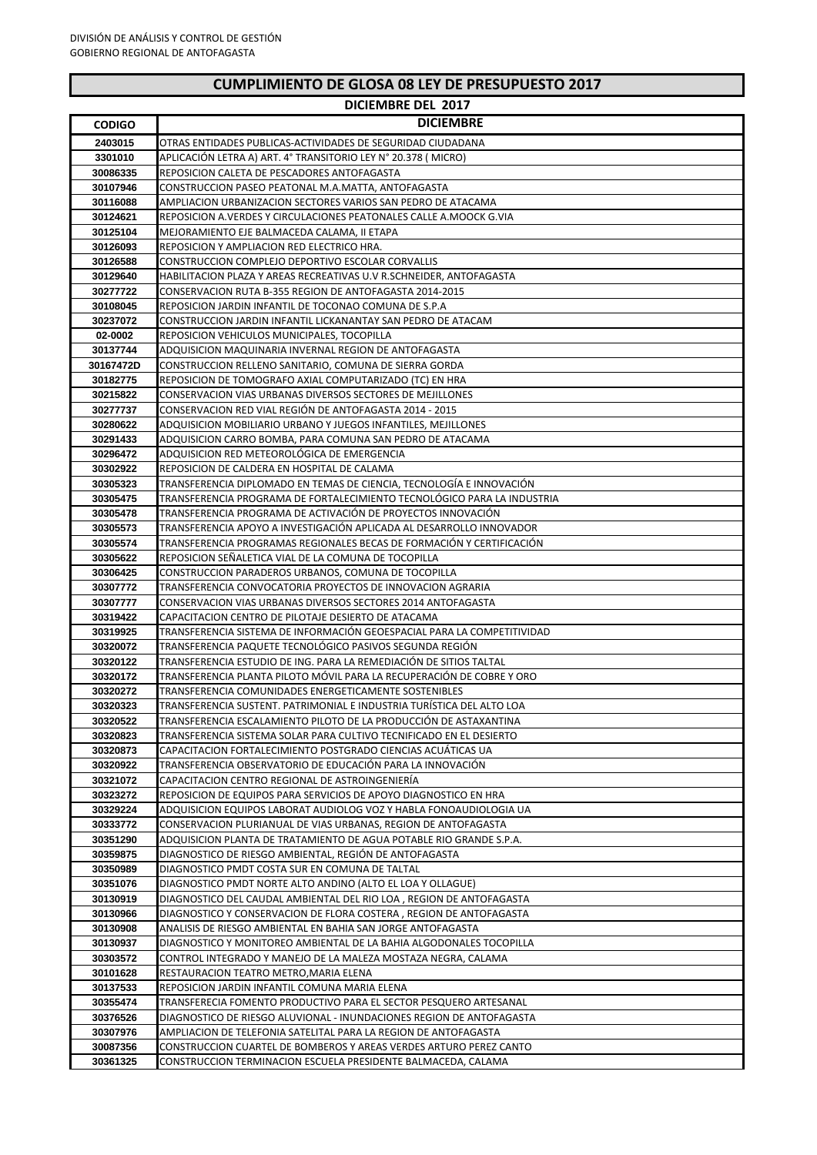## **DICIEMBRE DEL 2017**

| <b>CODIGO</b>        | <b>DICIEMBRE</b>                                                                                                                          |
|----------------------|-------------------------------------------------------------------------------------------------------------------------------------------|
| 2403015              | OTRAS ENTIDADES PUBLICAS-ACTIVIDADES DE SEGURIDAD CIUDADANA                                                                               |
| 3301010              | APLICACIÓN LETRA A) ART. 4º TRANSITORIO LEY Nº 20.378 ( MICRO)                                                                            |
| 30086335             | REPOSICION CALETA DE PESCADORES ANTOFAGASTA                                                                                               |
| 30107946             | CONSTRUCCION PASEO PEATONAL M.A.MATTA, ANTOFAGASTA                                                                                        |
| 30116088             | AMPLIACION URBANIZACION SECTORES VARIOS SAN PEDRO DE ATACAMA                                                                              |
| 30124621             | REPOSICION A. VERDES Y CIRCULACIONES PEATONALES CALLE A. MOOCK G. VIA                                                                     |
| 30125104             | MEJORAMIENTO EJE BALMACEDA CALAMA, II ETAPA                                                                                               |
| 30126093             | REPOSICION Y AMPLIACION RED ELECTRICO HRA.                                                                                                |
| 30126588             | CONSTRUCCION COMPLEJO DEPORTIVO ESCOLAR CORVALLIS                                                                                         |
| 30129640             | HABILITACION PLAZA Y AREAS RECREATIVAS U.V R.SCHNEIDER, ANTOFAGASTA                                                                       |
| 30277722             | CONSERVACION RUTA B-355 REGION DE ANTOFAGASTA 2014-2015<br>REPOSICION JARDIN INFANTIL DE TOCONAO COMUNA DE S.P.A                          |
| 30108045<br>30237072 | CONSTRUCCION JARDIN INFANTIL LICKANANTAY SAN PEDRO DE ATACAM                                                                              |
| 02-0002              | REPOSICION VEHICULOS MUNICIPALES, TOCOPILLA                                                                                               |
| 30137744             | ADQUISICION MAQUINARIA INVERNAL REGION DE ANTOFAGASTA                                                                                     |
| 30167472D            | CONSTRUCCION RELLENO SANITARIO, COMUNA DE SIERRA GORDA                                                                                    |
| 30182775             | REPOSICION DE TOMOGRAFO AXIAL COMPUTARIZADO (TC) EN HRA                                                                                   |
| 30215822             | <b>CONSERVACION VIAS URBANAS DIVERSOS SECTORES DE MEJILLONES</b>                                                                          |
| 30277737             | CONSERVACION RED VIAL REGIÓN DE ANTOFAGASTA 2014 - 2015                                                                                   |
| 30280622             | ADQUISICION MOBILIARIO URBANO Y JUEGOS INFANTILES, MEJILLONES                                                                             |
| 30291433             | ADQUISICION CARRO BOMBA, PARA COMUNA SAN PEDRO DE ATACAMA                                                                                 |
| 30296472             | ADQUISICION RED METEOROLÓGICA DE EMERGENCIA                                                                                               |
| 30302922             | REPOSICION DE CALDERA EN HOSPITAL DE CALAMA                                                                                               |
| 30305323             | TRANSFERENCIA DIPLOMADO EN TEMAS DE CIENCIA, TECNOLOGÍA E INNOVACIÓN                                                                      |
| 30305475             | TRANSFERENCIA PROGRAMA DE FORTALECIMIENTO TECNOLOGICO PARA LA INDUSTRIA                                                                   |
| 30305478<br>30305573 | TRANSFERENCIA PROGRAMA DE ACTIVACIÓN DE PROYECTOS INNOVACIÓN<br>TRANSFERENCIA APOYO A INVESTIGACIÓN APLICADA AL DESARROLLO INNOVADOR      |
| 30305574             | TRANSFERENCIA PROGRAMAS REGIONALES BECAS DE FORMACIÓN Y CERTIFICACIÓN                                                                     |
| 30305622             | REPOSICION SEÑALETICA VIAL DE LA COMUNA DE TOCOPILLA                                                                                      |
| 30306425             | CONSTRUCCION PARADEROS URBANOS, COMUNA DE TOCOPILLA                                                                                       |
| 30307772             | TRANSFERENCIA CONVOCATORIA PROYECTOS DE INNOVACION AGRARIA                                                                                |
| 30307777             | CONSERVACION VIAS URBANAS DIVERSOS SECTORES 2014 ANTOFAGASTA                                                                              |
| 30319422             | CAPACITACION CENTRO DE PILOTAJE DESIERTO DE ATACAMA                                                                                       |
| 30319925             | TRANSFERENCIA SISTEMA DE INFORMACIÓN GEOESPACIAL PARA LA COMPETITIVIDAD                                                                   |
| 30320072             | TRANSFERENCIA PAQUETE TECNOLOGICO PASIVOS SEGUNDA REGION                                                                                  |
| 30320122             | TRANSFERENCIA ESTUDIO DE ING. PARA LA REMEDIACIÓN DE SITIOS TALTAL                                                                        |
| 30320172<br>30320272 | TRANSFERENCIA PLANTA PILOTO MOVIL PARA LA RECUPERACIÓN DE COBRE Y ORO<br>TRANSFERENCIA COMUNIDADES ENERGETICAMENTE SOSTENIBLES            |
| 30320323             | TRANSFERENCIA SUSTENT. PATRIMONIAL E INDUSTRIA TURÍSTICA DEL ALTO LOA                                                                     |
| 30320522             | TRANSFERENCIA ESCALAMIENTO PILOTO DE LA PRODUCCIÓN DE ASTAXANTINA                                                                         |
| 30320823             | TRANSFERENCIA SISTEMA SOLAR PARA CULTIVO TECNIFICADO EN EL DESIERTO                                                                       |
| 30320873             | CAPACITACION FORTALECIMIENTO POSTGRADO CIENCIAS ACUÁTICAS UA                                                                              |
| 30320922             | TRANSFERENCIA OBSERVATORIO DE EDUCACIÓN PARA LA INNOVACIÓN                                                                                |
| 30321072             | CAPACITACION CENTRO REGIONAL DE ASTROINGENIERÍA                                                                                           |
| 30323272             | REPOSICION DE EQUIPOS PARA SERVICIOS DE APOYO DIAGNOSTICO EN HRA                                                                          |
| 30329224             | ADQUISICION EQUIPOS LABORAT AUDIOLOG VOZ Y HABLA FONOAUDIOLOGIA UA                                                                        |
| 30333772<br>30351290 | CONSERVACION PLURIANUAL DE VIAS URBANAS, REGION DE ANTOFAGASTA<br>ADQUISICION PLANTA DE TRATAMIENTO DE AGUA POTABLE RIO GRANDE S.P.A.     |
| 30359875             | DIAGNOSTICO DE RIESGO AMBIENTAL, REGIÓN DE ANTOFAGASTA                                                                                    |
| 30350989             | DIAGNOSTICO PMDT COSTA SUR EN COMUNA DE TALTAL                                                                                            |
| 30351076             | DIAGNOSTICO PMDT NORTE ALTO ANDINO (ALTO EL LOA Y OLLAGUE)                                                                                |
| 30130919             | DIAGNOSTICO DEL CAUDAL AMBIENTAL DEL RIO LOA, REGION DE ANTOFAGASTA                                                                       |
| 30130966             | DIAGNOSTICO Y CONSERVACION DE FLORA COSTERA, REGION DE ANTOFAGASTA                                                                        |
| 30130908             | ANALISIS DE RIESGO AMBIENTAL EN BAHIA SAN JORGE ANTOFAGASTA                                                                               |
| 30130937             | DIAGNOSTICO Y MONITOREO AMBIENTAL DE LA BAHIA ALGODONALES TOCOPILLA                                                                       |
| 30303572             | CONTROL INTEGRADO Y MANEJO DE LA MALEZA MOSTAZA NEGRA, CALAMA                                                                             |
| 30101628             | RESTAURACION TEATRO METRO, MARIA ELENA                                                                                                    |
| 30137533             | REPOSICION JARDIN INFANTIL COMUNA MARIA ELENA                                                                                             |
| 30355474<br>30376526 | TRANSFERECIA FOMENTO PRODUCTIVO PARA EL SECTOR PESQUERO ARTESANAL<br>DIAGNOSTICO DE RIESGO ALUVIONAL - INUNDACIONES REGION DE ANTOFAGASTA |
| 30307976             | AMPLIACION DE TELEFONIA SATELITAL PARA LA REGION DE ANTOFAGASTA                                                                           |
| 30087356             | CONSTRUCCION CUARTEL DE BOMBEROS Y AREAS VERDES ARTURO PEREZ CANTO                                                                        |
| 30361325             | CONSTRUCCION TERMINACION ESCUELA PRESIDENTE BALMACEDA, CALAMA                                                                             |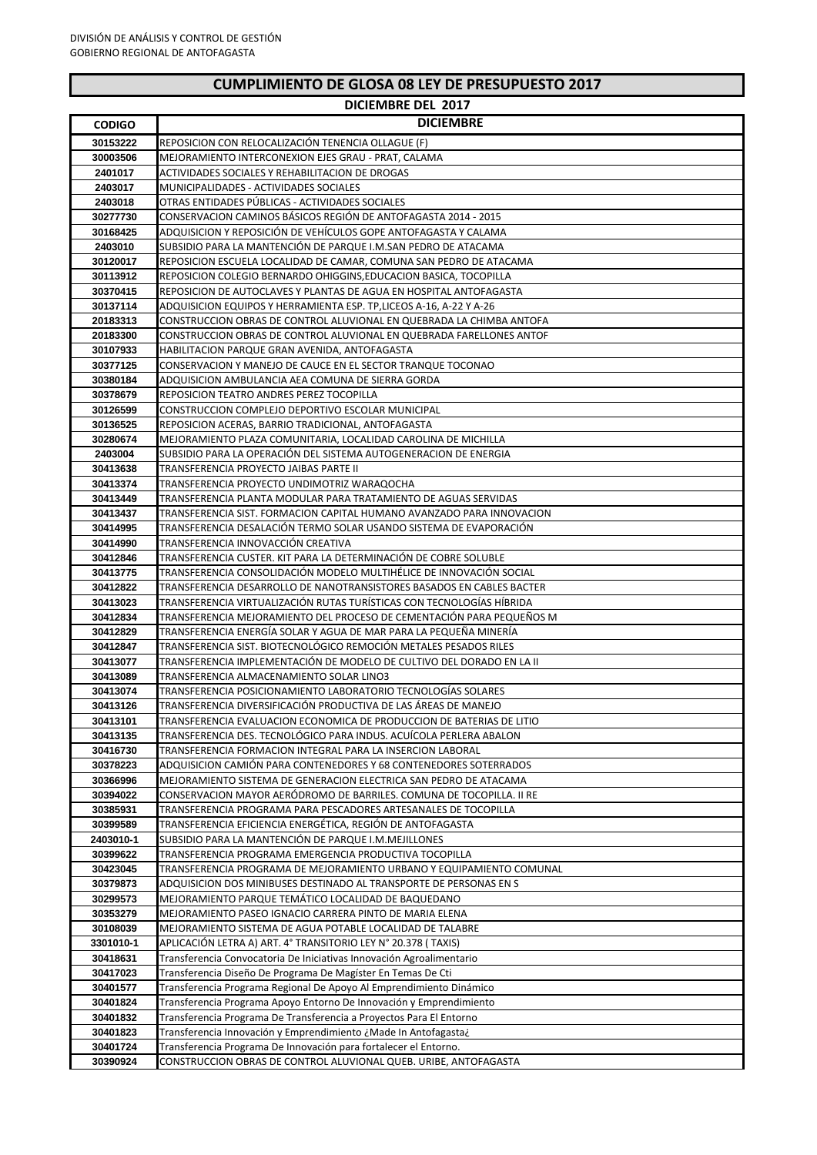| <b>CUMPLIMIENTO DE GLOSA 08 LEY DE PRESUPUESTO 2017</b> |  |
|---------------------------------------------------------|--|
|---------------------------------------------------------|--|

|                      | <b>DICIEMBRE DEL 2017</b>                                                                                                                    |
|----------------------|----------------------------------------------------------------------------------------------------------------------------------------------|
| <b>CODIGO</b>        | <b>DICIEMBRE</b>                                                                                                                             |
| 30153222             | REPOSICION CON RELOCALIZACIÓN TENENCIA OLLAGUE (F)                                                                                           |
| 30003506             | MEJORAMIENTO INTERCONEXION EJES GRAU - PRAT, CALAMA                                                                                          |
| 2401017              | ACTIVIDADES SOCIALES Y REHABILITACION DE DROGAS                                                                                              |
| 2403017              | MUNICIPALIDADES - ACTIVIDADES SOCIALES                                                                                                       |
| 2403018              | OTRAS ENTIDADES PÚBLICAS - ACTIVIDADES SOCIALES                                                                                              |
| 30277730             | CONSERVACION CAMINOS BÁSICOS REGIÓN DE ANTOFAGASTA 2014 - 2015                                                                               |
| 30168425             | ADQUISICION Y REPOSICIÓN DE VEHÍCULOS GOPE ANTOFAGASTA Y CALAMA                                                                              |
| 2403010              | SUBSIDIO PARA LA MANTENCIÓN DE PARQUE I.M.SAN PEDRO DE ATACAMA                                                                               |
| 30120017             | REPOSICION ESCUELA LOCALIDAD DE CAMAR, COMUNA SAN PEDRO DE ATACAMA                                                                           |
| 30113912             | REPOSICION COLEGIO BERNARDO OHIGGINS, EDUCACION BASICA, TOCOPILLA                                                                            |
| 30370415             | REPOSICION DE AUTOCLAVES Y PLANTAS DE AGUA EN HOSPITAL ANTOFAGASTA                                                                           |
| 30137114             | ADQUISICION EQUIPOS Y HERRAMIENTA ESP. TP,LICEOS A-16, A-22 Y A-26                                                                           |
| 20183313<br>20183300 | CONSTRUCCION OBRAS DE CONTROL ALUVIONAL EN QUEBRADA LA CHIMBA ANTOFA<br>CONSTRUCCION OBRAS DE CONTROL ALUVIONAL EN QUEBRADA FARELLONES ANTOF |
| 30107933             | HABILITACION PARQUE GRAN AVENIDA, ANTOFAGASTA                                                                                                |
| 30377125             | CONSERVACION Y MANEJO DE CAUCE EN EL SECTOR TRANQUE TOCONAO                                                                                  |
| 30380184             | ADQUISICION AMBULANCIA AEA COMUNA DE SIERRA GORDA                                                                                            |
| 30378679             | REPOSICION TEATRO ANDRES PEREZ TOCOPILLA                                                                                                     |
| 30126599             | CONSTRUCCION COMPLEJO DEPORTIVO ESCOLAR MUNICIPAL                                                                                            |
| 30136525             | REPOSICION ACERAS, BARRIO TRADICIONAL, ANTOFAGASTA                                                                                           |
| 30280674             | MEJORAMIENTO PLAZA COMUNITARIA, LOCALIDAD CAROLINA DE MICHILLA                                                                               |
| 2403004              | SUBSIDIO PARA LA OPERACIÓN DEL SISTEMA AUTOGENERACIÓN DE ENERGIA                                                                             |
| 30413638             | TRANSFERENCIA PROYECTO JAIBAS PARTE II                                                                                                       |
| 30413374             | TRANSFERENCIA PROYECTO UNDIMOTRIZ WARAQOCHA                                                                                                  |
| 30413449             | TRANSFERENCIA PLANTA MODULAR PARA TRATAMIENTO DE AGUAS SERVIDAS                                                                              |
| 30413437             | TRANSFERENCIA SIST. FORMACION CAPITAL HUMANO AVANZADO PARA INNOVACION                                                                        |
| 30414995             | TRANSFERENCIA DESALACIÓN TERMO SOLAR USANDO SISTEMA DE EVAPORACIÓN                                                                           |
| 30414990             | TRANSFERENCIA INNOVACCIÓN CREATIVA                                                                                                           |
| 30412846             | TRANSFERENCIA CUSTER. KIT PARA LA DETERMINACIÓN DE COBRE SOLUBLE                                                                             |
| 30413775<br>30412822 | TRANSFERENCIA CONSOLIDACIÓN MODELO MULTIHÉLICE DE INNOVACIÓN SOCIAL<br>TRANSFERENCIA DESARROLLO DE NANOTRANSISTORES BASADOS EN CABLES BACTER |
| 30413023             | TRANSFERENCIA VIRTUALIZACIÓN RUTAS TURÍSTICAS CON TECNOLOGÍAS HÍBRIDA                                                                        |
| 30412834             | TRANSFERENCIA MEJORAMIENTO DEL PROCESO DE CEMENTACIÓN PARA PEQUEÑOS M                                                                        |
| 30412829             | TRANSFERENCIA ENERGÍA SOLAR Y AGUA DE MAR PARA LA PEQUEÑA MINERÍA                                                                            |
| 30412847             | TRANSFERENCIA SIST. BIOTECNOLÓGICO REMOCIÓN METALES PESADOS RILES                                                                            |
| 30413077             | TRANSFERENCIA IMPLEMENTACION DE MODELO DE CULTIVO DEL DORADO EN LA II                                                                        |
| 30413089             | TRANSFERENCIA ALMACENAMIENTO SOLAR LINO3                                                                                                     |
| 30413074             | TRANSFERENCIA POSICIONAMIENTO LABORATORIO TECNOLOGIAS SOLARES                                                                                |
| 30413126             | TRANSFERENCIA DIVERSIFICACIÓN PRODUCTIVA DE LAS ÁREAS DE MANEJO                                                                              |
| 30413101             | TRANSFERENCIA EVALUACION ECONOMICA DE PRODUCCION DE BATERIAS DE LITIO                                                                        |
| 30413135             | TRANSFERENCIA DES. TECNOLÓGICO PARA INDUS. ACUÍCOLA PERLERA ABALON                                                                           |
| 30416730             | TRANSFERENCIA FORMACION INTEGRAL PARA LA INSERCION LABORAL                                                                                   |
| 30378223             | ADQUISICION CAMIÓN PARA CONTENEDORES Y 68 CONTENEDORES SOTERRADOS                                                                            |
| 30366996<br>30394022 | MEJORAMIENTO SISTEMA DE GENERACION ELECTRICA SAN PEDRO DE ATACAMA<br>CONSERVACION MAYOR AERÓDROMO DE BARRILES. COMUNA DE TOCOPILLA. II RE    |
| 30385931             | TRANSFERENCIA PROGRAMA PARA PESCADORES ARTESANALES DE TOCOPILLA                                                                              |
| 30399589             | TRANSFERENCIA EFICIENCIA ENERGÉTICA, REGIÓN DE ANTOFAGASTA                                                                                   |
| 2403010-1            | SUBSIDIO PARA LA MANTENCIÓN DE PARQUE I.M.MEJILLONES                                                                                         |
| 30399622             | TRANSFERENCIA PROGRAMA EMERGENCIA PRODUCTIVA TOCOPILLA                                                                                       |
| 30423045             | TRANSFERENCIA PROGRAMA DE MEJORAMIENTO URBANO Y EQUIPAMIENTO COMUNAL                                                                         |
| 30379873             | ADQUISICION DOS MINIBUSES DESTINADO AL TRANSPORTE DE PERSONAS EN S                                                                           |
| 30299573             | MEJORAMIENTO PARQUE TEMÁTICO LOCALIDAD DE BAQUEDANO                                                                                          |
| 30353279             | MEJORAMIENTO PASEO IGNACIO CARRERA PINTO DE MARIA ELENA                                                                                      |
| 30108039             | MEJORAMIENTO SISTEMA DE AGUA POTABLE LOCALIDAD DE TALABRE                                                                                    |
| 3301010-1            | APLICACIÓN LETRA A) ART. 4° TRANSITORIO LEY N° 20.378 (TAXIS)                                                                                |
| 30418631             | Transferencia Convocatoria De Iniciativas Innovación Agroalimentario                                                                         |
| 30417023             | Transferencia Diseño De Programa De Magíster En Temas De Cti                                                                                 |
| 30401577<br>30401824 | Transferencia Programa Regional De Apoyo Al Emprendimiento Dinámico<br>Transferencia Programa Apoyo Entorno De Innovación y Emprendimiento   |
|                      | Transferencia Programa De Transferencia a Proyectos Para El Entorno                                                                          |
|                      |                                                                                                                                              |
| 30401832             |                                                                                                                                              |
| 30401823<br>30401724 | Transferencia Innovación y Emprendimiento ¿Made In Antofagasta¿<br>Transferencia Programa De Innovación para fortalecer el Entorno.          |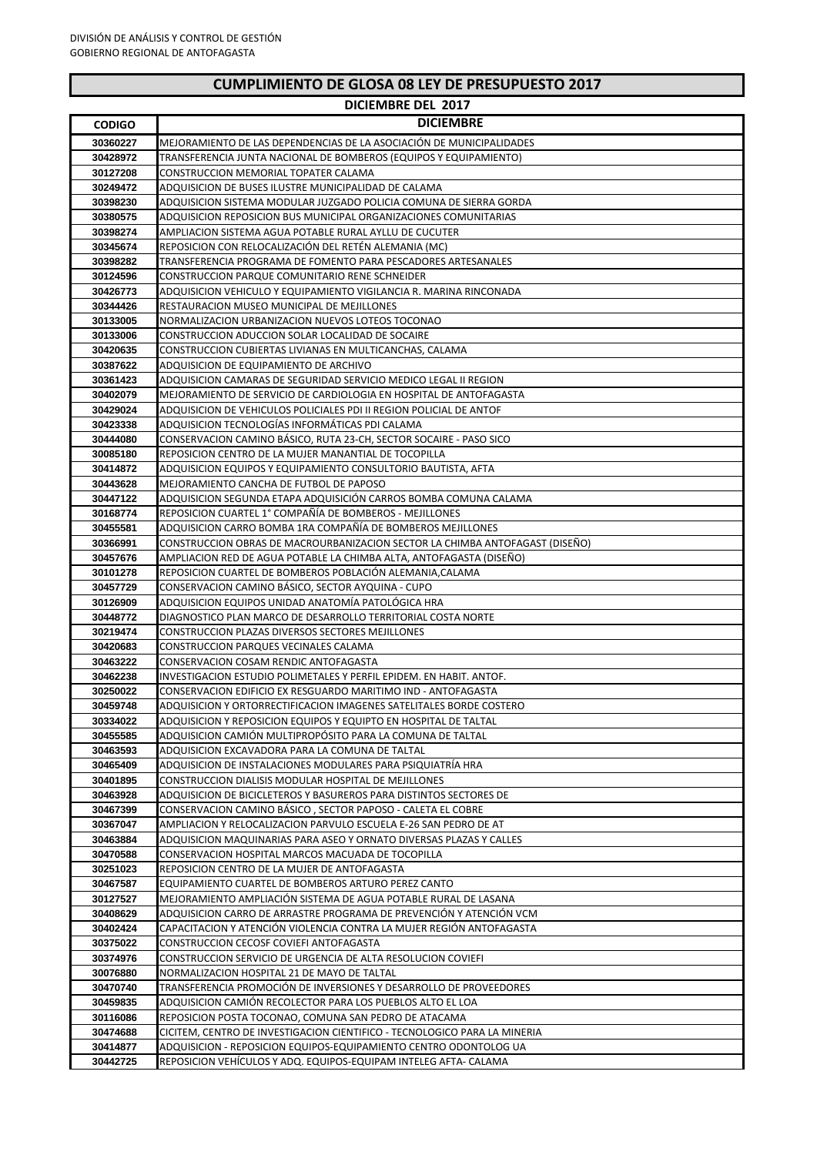## **DICIEMBRE DEL 2017**

| <b>CODIGO</b>        | <b>DICIEMBRE</b>                                                                                                                                    |
|----------------------|-----------------------------------------------------------------------------------------------------------------------------------------------------|
| 30360227             | MEJORAMIENTO DE LAS DEPENDENCIAS DE LA ASOCIACIÓN DE MUNICIPALIDADES                                                                                |
| 30428972             | TRANSFERENCIA JUNTA NACIONAL DE BOMBEROS (EQUIPOS Y EQUIPAMIENTO)                                                                                   |
| 30127208             | CONSTRUCCION MEMORIAL TOPATER CALAMA                                                                                                                |
| 30249472             | ADQUISICION DE BUSES ILUSTRE MUNICIPALIDAD DE CALAMA                                                                                                |
| 30398230             | ADQUISICION SISTEMA MODULAR JUZGADO POLICIA COMUNA DE SIERRA GORDA                                                                                  |
| 30380575             | ADQUISICION REPOSICION BUS MUNICIPAL ORGANIZACIONES COMUNITARIAS                                                                                    |
| 30398274             | AMPLIACION SISTEMA AGUA POTABLE RURAL AYLLU DE CUCUTER                                                                                              |
| 30345674             | REPOSICION CON RELOCALIZACIÓN DEL RETÉN ALEMANIA (MC)                                                                                               |
| 30398282             | TRANSFERENCIA PROGRAMA DE FOMENTO PARA PESCADORES ARTESANALES                                                                                       |
| 30124596             | CONSTRUCCION PARQUE COMUNITARIO RENE SCHNEIDER                                                                                                      |
| 30426773<br>30344426 | ADQUISICION VEHICULO Y EQUIPAMIENTO VIGILANCIA R. MARINA RINCONADA<br>RESTAURACION MUSEO MUNICIPAL DE MEJILLONES                                    |
| 30133005             | NORMALIZACION URBANIZACION NUEVOS LOTEOS TOCONAO                                                                                                    |
| 30133006             | CONSTRUCCION ADUCCION SOLAR LOCALIDAD DE SOCAIRE                                                                                                    |
| 30420635             | CONSTRUCCION CUBIERTAS LIVIANAS EN MULTICANCHAS, CALAMA                                                                                             |
| 30387622             | ADQUISICION DE EQUIPAMIENTO DE ARCHIVO                                                                                                              |
| 30361423             | ADQUISICION CAMARAS DE SEGURIDAD SERVICIO MEDICO LEGAL II REGION                                                                                    |
| 30402079             | MEJORAMIENTO DE SERVICIO DE CARDIOLOGIA EN HOSPITAL DE ANTOFAGASTA                                                                                  |
| 30429024             | ADQUISICION DE VEHICULOS POLICIALES PDI II REGION POLICIAL DE ANTOF                                                                                 |
| 30423338             | ADQUISICION TECNOLOGÍAS INFORMÁTICAS PDI CALAMA                                                                                                     |
| 30444080             | CONSERVACION CAMINO BÁSICO, RUTA 23-CH, SECTOR SOCAIRE - PASO SICO                                                                                  |
| 30085180             | REPOSICION CENTRO DE LA MUJER MANANTIAL DE TOCOPILLA                                                                                                |
| 30414872             | ADQUISICION EQUIPOS Y EQUIPAMIENTO CONSULTORIO BAUTISTA, AFTA                                                                                       |
| 30443628             | MEJORAMIENTO CANCHA DE FUTBOL DE PAPOSO                                                                                                             |
| 30447122             | ADQUISICION SEGUNDA ETAPA ADQUISICIÓN CARROS BOMBA COMUNA CALAMA                                                                                    |
| 30168774             | REPOSICION CUARTEL 1° COMPAÑÍA DE BOMBEROS - MEJILLONES                                                                                             |
| 30455581             | ADQUISICION CARRO BOMBA 1RA COMPAÑÍA DE BOMBEROS MEJILLONES                                                                                         |
| 30366991<br>30457676 | CONSTRUCCION OBRAS DE MACROURBANIZACION SECTOR LA CHIMBA ANTOFAGAST (DISEÑO)<br>AMPLIACION RED DE AGUA POTABLE LA CHIMBA ALTA, ANTOFAGASTA (DISEÑO) |
| 30101278             | REPOSICION CUARTEL DE BOMBEROS POBLACIÓN ALEMANIA, CALAMA                                                                                           |
| 30457729             | CONSERVACION CAMINO BÁSICO, SECTOR AYQUINA - CUPO                                                                                                   |
| 30126909             | ADQUISICION EQUIPOS UNIDAD ANATOMÍA PATOLÓGICA HRA                                                                                                  |
| 30448772             | DIAGNOSTICO PLAN MARCO DE DESARROLLO TERRITORIAL COSTA NORTE                                                                                        |
| 30219474             | CONSTRUCCION PLAZAS DIVERSOS SECTORES MEJILLONES                                                                                                    |
| 30420683             | CONSTRUCCION PARQUES VECINALES CALAMA                                                                                                               |
| 30463222             | CONSERVACION COSAM RENDIC ANTOFAGASTA                                                                                                               |
| 30462238             | INVESTIGACION ESTUDIO POLIMETALES Y PERFIL EPIDEM. EN HABIT. ANTOF.                                                                                 |
| 30250022             | CONSERVACION EDIFICIO EX RESGUARDO MARITIMO IND - ANTOFAGASTA                                                                                       |
| 30459748             | ADQUISICION Y ORTORRECTIFICACION IMAGENES SATELITALES BORDE COSTERO                                                                                 |
| 30334022             | ADQUISICION Y REPOSICION EQUIPOS Y EQUIPTO EN HOSPITAL DE TALTAL                                                                                    |
| 30455585<br>30463593 | ADQUISICION CAMIÓN MULTIPROPÓSITO PARA LA COMUNA DE TALTAL<br>ADQUISICION EXCAVADORA PARA LA COMUNA DE TALTAL                                       |
| 30465409             | ADQUISICION DE INSTALACIONES MODULARES PARA PSIQUIATRÍA HRA                                                                                         |
| 30401895             | CONSTRUCCION DIALISIS MODULAR HOSPITAL DE MEJILLONES                                                                                                |
| 30463928             | ADQUISICION DE BICICLETEROS Y BASUREROS PARA DISTINTOS SECTORES DE                                                                                  |
| 30467399             | CONSERVACION CAMINO BÁSICO , SECTOR PAPOSO - CALETA EL COBRE                                                                                        |
| 30367047             | AMPLIACION Y RELOCALIZACION PARVULO ESCUELA E-26 SAN PEDRO DE AT                                                                                    |
| 30463884             | ADQUISICION MAQUINARIAS PARA ASEO Y ORNATO DIVERSAS PLAZAS Y CALLES                                                                                 |
| 30470588             | CONSERVACION HOSPITAL MARCOS MACUADA DE TOCOPILLA                                                                                                   |
| 30251023             | REPOSICION CENTRO DE LA MUJER DE ANTOFAGASTA                                                                                                        |
| 30467587             | EQUIPAMIENTO CUARTEL DE BOMBEROS ARTURO PEREZ CANTO                                                                                                 |
| 30127527             | MEJORAMIENTO AMPLIACIÓN SISTEMA DE AGUA POTABLE RURAL DE LASANA                                                                                     |
| 30408629             | ADQUISICION CARRO DE ARRASTRE PROGRAMA DE PREVENCIÓN Y ATENCIÓN VCM                                                                                 |
| 30402424             | CAPACITACION Y ATENCIÓN VIOLENCIA CONTRA LA MUJER REGIÓN ANTOFAGASTA                                                                                |
| 30375022             | CONSTRUCCION CECOSF COVIEFI ANTOFAGASTA                                                                                                             |
| 30374976<br>30076880 | CONSTRUCCION SERVICIO DE URGENCIA DE ALTA RESOLUCION COVIEFI<br>NORMALIZACION HOSPITAL 21 DE MAYO DE TALTAL                                         |
| 30470740             | TRANSFERENCIA PROMOCIÓN DE INVERSIONES Y DESARROLLO DE PROVEEDORES                                                                                  |
| 30459835             | ADQUISICION CAMIÓN RECOLECTOR PARA LOS PUEBLOS ALTO EL LOA                                                                                          |
| 30116086             | REPOSICION POSTA TOCONAO, COMUNA SAN PEDRO DE ATACAMA                                                                                               |
| 30474688             | CICITEM, CENTRO DE INVESTIGACION CIENTIFICO - TECNOLOGICO PARA LA MINERIA                                                                           |
| 30414877             | ADQUISICION - REPOSICION EQUIPOS-EQUIPAMIENTO CENTRO ODONTOLOG UA                                                                                   |
| 30442725             | REPOSICION VEHÍCULOS Y ADQ. EQUIPOS-EQUIPAM INTELEG AFTA- CALAMA                                                                                    |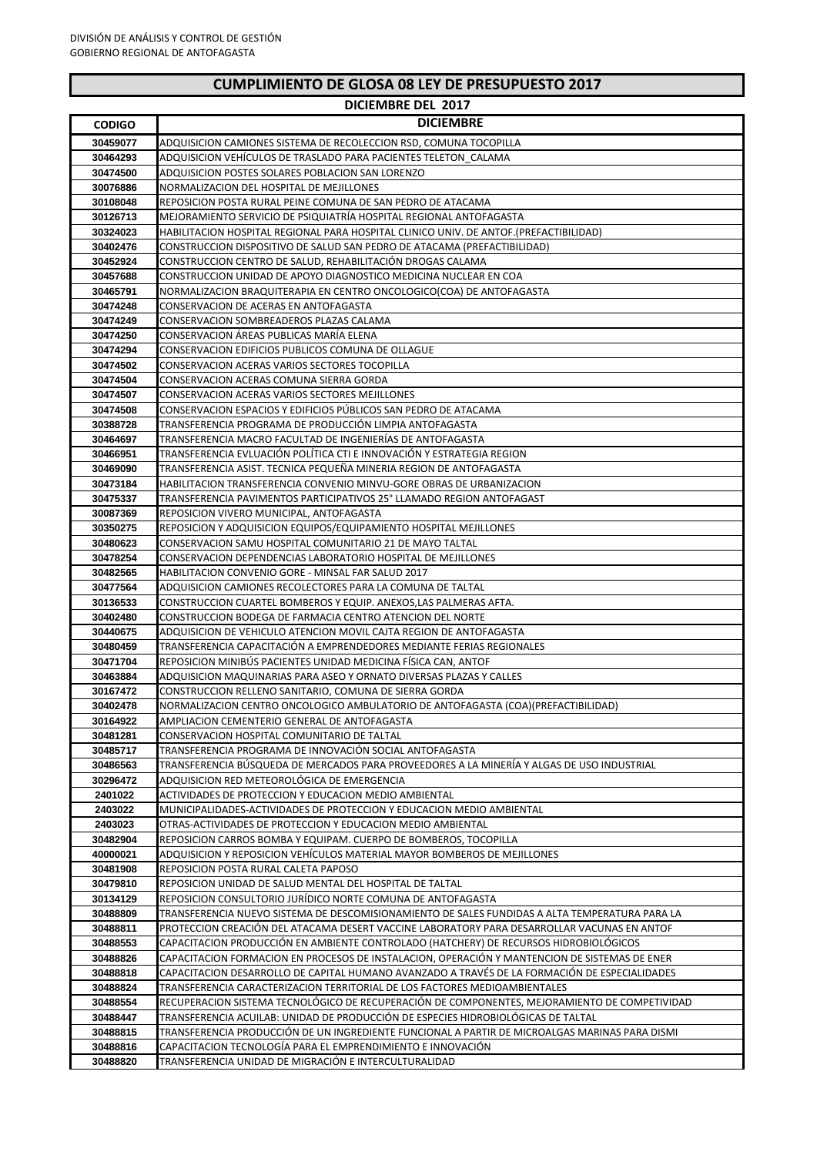|  | <b>CUMPLIMIENTO DE GLOSA 08 LEY DE PRESUPUESTO 2017</b> |
|--|---------------------------------------------------------|
|--|---------------------------------------------------------|

## **DICIEMBRE DEL 2017**

| <b>CODIGO</b>        | <b>DICIEMBRE</b>                                                                                                                                                                              |
|----------------------|-----------------------------------------------------------------------------------------------------------------------------------------------------------------------------------------------|
|                      |                                                                                                                                                                                               |
| 30459077<br>30464293 | ADQUISICION CAMIONES SISTEMA DE RECOLECCION RSD, COMUNA TOCOPILLA<br>ADQUISICION VEHÍCULOS DE TRASLADO PARA PACIENTES TELETON  CALAMA                                                         |
| 30474500             | ADQUISICION POSTES SOLARES POBLACION SAN LORENZO                                                                                                                                              |
| 30076886             | NORMALIZACION DEL HOSPITAL DE MEJILLONES                                                                                                                                                      |
| 30108048             | REPOSICION POSTA RURAL PEINE COMUNA DE SAN PEDRO DE ATACAMA                                                                                                                                   |
| 30126713             | MEJORAMIENTO SERVICIO DE PSIQUIATRIA HOSPITAL REGIONAL ANTOFAGASTA                                                                                                                            |
| 30324023             | HABILITACION HOSPITAL REGIONAL PARA HOSPITAL CLINICO UNIV. DE ANTOF.(PREFACTIBILIDAD)                                                                                                         |
| 30402476             | CONSTRUCCION DISPOSITIVO DE SALUD SAN PEDRO DE ATACAMA (PREFACTIBILIDAD)                                                                                                                      |
| 30452924             | CONSTRUCCION CENTRO DE SALUD. REHABILITACIÓN DROGAS CALAMA                                                                                                                                    |
| 30457688             | CONSTRUCCION UNIDAD DE APOYO DIAGNOSTICO MEDICINA NUCLEAR EN COA                                                                                                                              |
| 30465791             | NORMALIZACION BRAQUITERAPIA EN CENTRO ONCOLOGICO(COA) DE ANTOFAGASTA                                                                                                                          |
| 30474248             | CONSERVACION DE ACERAS EN ANTOFAGASTA                                                                                                                                                         |
| 30474249             | CONSERVACION SOMBREADEROS PLAZAS CALAMA                                                                                                                                                       |
| 30474250             | CONSERVACION ÁREAS PUBLICAS MARÍA ELENA                                                                                                                                                       |
| 30474294             | CONSERVACION EDIFICIOS PUBLICOS COMUNA DE OLLAGUE                                                                                                                                             |
| 30474502             | CONSERVACION ACERAS VARIOS SECTORES TOCOPILLA                                                                                                                                                 |
| 30474504             | CONSERVACION ACERAS COMUNA SIERRA GORDA                                                                                                                                                       |
| 30474507             | CONSERVACION ACERAS VARIOS SECTORES MEJILLONES                                                                                                                                                |
| 30474508             | CONSERVACION ESPACIOS Y EDIFICIOS PÚBLICOS SAN PEDRO DE ATACAMA                                                                                                                               |
| 30388728             | TRANSFERENCIA PROGRAMA DE PRODUCCIÓN LIMPIA ANTOFAGASTA                                                                                                                                       |
| 30464697             | TRANSFERENCIA MACRO FACULTAD DE INGENIERIAS DE ANTOFAGASTA                                                                                                                                    |
| 30466951             | TRANSFERENCIA EVLUACIÓN POLÍTICA CTI E INNOVACIÓN Y ESTRATEGIA REGION                                                                                                                         |
| 30469090             | TRANSFERENCIA ASIST. TECNICA PEQUEÑA MINERIA REGION DE ANTOFAGASTA                                                                                                                            |
| 30473184             | HABILITACION TRANSFERENCIA CONVENIO MINVU-GORE OBRAS DE URBANIZACION                                                                                                                          |
| 30475337             | TRANSFERENCIA PAVIMENTOS PARTICIPATIVOS 25° LLAMADO REGION ANTOFAGAST                                                                                                                         |
| 30087369             | REPOSICION VIVERO MUNICIPAL, ANTOFAGASTA                                                                                                                                                      |
| 30350275             | REPOSICION Y ADQUISICION EQUIPOS/EQUIPAMIENTO HOSPITAL MEJILLONES                                                                                                                             |
| 30480623             | CONSERVACION SAMU HOSPITAL COMUNITARIO 21 DE MAYO TALTAL                                                                                                                                      |
| 30478254             | CONSERVACION DEPENDENCIAS LABORATORIO HOSPITAL DE MEJILLONES                                                                                                                                  |
| 30482565<br>30477564 | HABILITACION CONVENIO GORE - MINSAL FAR SALUD 2017                                                                                                                                            |
| 30136533             | ADQUISICION CAMIONES RECOLECTORES PARA LA COMUNA DE TALTAL<br>CONSTRUCCION CUARTEL BOMBEROS Y EQUIP. ANEXOS,LAS PALMERAS AFTA.                                                                |
| 30402480             | CONSTRUCCION BODEGA DE FARMACIA CENTRO ATENCION DEL NORTE                                                                                                                                     |
| 30440675             | ADQUISICION DE VEHICULO ATENCION MOVIL CAJTA REGION DE ANTOFAGASTA                                                                                                                            |
| 30480459             | TRANSFERENCIA CAPACITACIÓN A EMPRENDEDORES MEDIANTE FERIAS REGIONALES                                                                                                                         |
| 30471704             | REPOSICION MINIBUS PACIENTES UNIDAD MEDICINA FISICA CAN, ANTOF                                                                                                                                |
| 30463884             | ADQUISICION MAQUINARIAS PARA ASEO Y ORNATO DIVERSAS PLAZAS Y CALLES                                                                                                                           |
| 30167472             | CONSTRUCCION RELLENO SANITARIO, COMUNA DE SIERRA GORDA                                                                                                                                        |
| 30402478             | NORMALIZACION CENTRO ONCOLOGICO AMBULATORIO DE ANTOFAGASTA (COA)(PREFACTIBILIDAD)                                                                                                             |
| 30164922             | AMPLIACION CEMENTERIO GENERAL DE ANTOFAGASTA                                                                                                                                                  |
| 30481281             | CONSERVACION HOSPITAL COMUNITARIO DE TALTAL                                                                                                                                                   |
| 30485717             | TRANSFERENCIA PROGRAMA DE INNOVACIÓN SOCIAL ANTOFAGASTA                                                                                                                                       |
| 30486563             | TRANSFERENCIA BÚSQUEDA DE MERCADOS PARA PROVEEDORES A LA MINERÍA Y ALGAS DE USO INDUSTRIAL                                                                                                    |
| 30296472             | ADQUISICION RED METEOROLÓGICA DE EMERGENCIA                                                                                                                                                   |
| 2401022              | ACTIVIDADES DE PROTECCION Y EDUCACION MEDIO AMBIENTAL                                                                                                                                         |
| 2403022              | MUNICIPALIDADES-ACTIVIDADES DE PROTECCION Y EDUCACION MEDIO AMBIENTAL                                                                                                                         |
| 2403023              | OTRAS-ACTIVIDADES DE PROTECCION Y EDUCACION MEDIO AMBIENTAL                                                                                                                                   |
| 30482904             | REPOSICION CARROS BOMBA Y EQUIPAM. CUERPO DE BOMBEROS, TOCOPILLA                                                                                                                              |
| 40000021             | ADQUISICION Y REPOSICION VEHÍCULOS MATERIAL MAYOR BOMBEROS DE MEJILLONES                                                                                                                      |
| 30481908             | REPOSICION POSTA RURAL CALETA PAPOSO                                                                                                                                                          |
| 30479810             | REPOSICION UNIDAD DE SALUD MENTAL DEL HOSPITAL DE TALTAL                                                                                                                                      |
| 30134129             | REPOSICION CONSULTORIO JURÍDICO NORTE COMUNA DE ANTOFAGASTA                                                                                                                                   |
| 30488809<br>30488811 | TRANSFERENCIA NUEVO SISTEMA DE DESCOMISIONAMIENTO DE SALES FUNDIDAS A ALTA TEMPERATURA PARA LA<br>PROTECCION CREACIÓN DEL ATACAMA DESERT VACCINE LABORATORY PARA DESARROLLAR VACUNAS EN ANTOF |
| 30488553             | CAPACITACION PRODUCCIÓN EN AMBIENTE CONTROLADO (HATCHERY) DE RECURSOS HIDROBIOLÓGICOS                                                                                                         |
| 30488826             | CAPACITACION FORMACION EN PROCESOS DE INSTALACION, OPERACION Y MANTENCION DE SISTEMAS DE ENER                                                                                                 |
| 30488818             | CAPACITACION DESARROLLO DE CAPITAL HUMANO AVANZADO A TRAVÉS DE LA FORMACIÓN DE ESPECIALIDADES                                                                                                 |
| 30488824             | TRANSFERENCIA CARACTERIZACION TERRITORIAL DE LOS FACTORES MEDIOAMBIENTALES                                                                                                                    |
| 30488554             | RECUPERACION SISTEMA TECNOLÓGICO DE RECUPERACIÓN DE COMPONENTES, MEJORAMIENTO DE COMPETIVIDAD                                                                                                 |
| 30488447             | TRANSFERENCIA ACUILAB: UNIDAD DE PRODUCCIÓN DE ESPECIES HIDROBIOLÓGICAS DE TALTAL                                                                                                             |
| 30488815             | TRANSFERENCIA PRODUCCIÓN DE UN INGREDIENTE FUNCIONAL A PARTIR DE MICROALGAS MARINAS PARA DISMI                                                                                                |
| 30488816             | CAPACITACION TECNOLOGÍA PARA EL EMPRENDIMIENTO E INNOVACIÓN                                                                                                                                   |
| 30488820             | TRANSFERENCIA UNIDAD DE MIGRACIÓN E INTERCULTURALIDAD                                                                                                                                         |